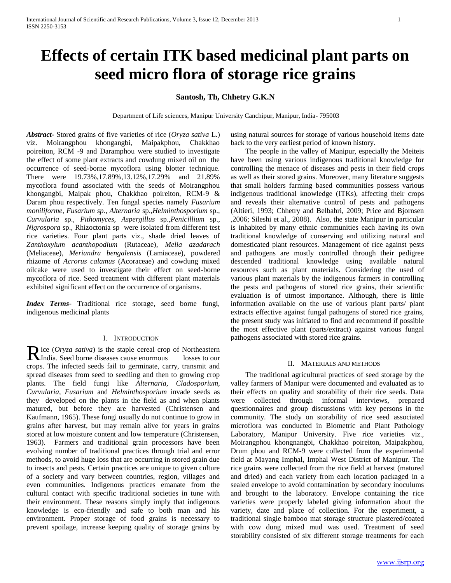# **Effects of certain ITK based medicinal plant parts on seed micro flora of storage rice grains**

## **Santosh, Th, Chhetry G.K.N**

Department of Life sciences, Manipur University Canchipur, Manipur, India- 795003

*Abstract***-** Stored grains of five varieties of rice (*Oryza sativa* L.) viz. Moirangphou khongangbi, Maipakphou, Chakkhao poireiton, RCM -9 and Daramphou were studied to investigate the effect of some plant extracts and cowdung mixed oil on the occurrence of seed-borne mycoflora using blotter technique. There were 19.73%,17.89%,13.12%,17.29% and 21.89% mycoflora found associated with the seeds of Moirangphou khongangbi, Maipak phou, Chakkhao poireiton, RCM-9 & Daram phou respectively. Ten fungal species namely *Fusarium moniliforme, Fusarium sp., Alternaria* sp.,*Helminthosporium* sp., *Curvularia* sp., *Pithomyces*, *Aspergillus* sp.,*Penicillium* sp., *Nigrospora* sp., Rhizoctonia sp were isolated from different test rice varieties. Four plant parts viz., shade dried leaves of *Zanthoxylum acanthopodium* (Rutaceae), *Melia azadarach*  (Meliaceae), *Meriandra bengalensis* (Lamiaceae)*,* powdered rhizome of *Acrorus calamus* (Acoraceae) and cowdung mixed oilcake were used to investigate their effect on seed-borne mycoflora of rice. Seed treatment with different plant materials exhibited significant effect on the occurrence of organisms.

*Index Terms*- Traditional rice storage, seed borne fungi, indigenous medicinal plants

#### I. INTRODUCTION

ice (*Oryza sativa*) is the staple cereal crop of Northeastern Rice (Oryza sativa) is the staple cereal crop of Northeastern<br>
India. Seed borne diseases cause enormous losses to our crops. The infected seeds fail to germinate, carry, transmit and spread diseases from seed to seedling and then to growing crop plants. The field fungi like *Alternaria, Cladosporium, Curvularia, Fusarium* and *Helminthosporium* invade seeds as they developed on the plants in the field as and when plants matured, but before they are harvested (Christensen and Kaufmann, 1965). These fungi usually do not continue to grow in grains after harvest, but may remain alive for years in grains stored at low moisture content and low temperature (Christensen, 1963). Farmers and traditional grain processors have been evolving number of traditional practices through trial and error methods, to avoid huge loss that are occurring in stored grain due to insects and pests. Certain practices are unique to given culture of a society and vary between countries, region, villages and even communities. Indigenous practices emanate from the cultural contact with specific traditional societies in tune with their environment. These reasons simply imply that indigenous knowledge is eco-friendly and safe to both man and his environment. Proper storage of food grains is necessary to prevent spoilage, increase keeping quality of storage grains by

using natural sources for storage of various household items date back to the very earliest period of known history.

 The people in the valley of Manipur, especially the Meiteis have been using various indigenous traditional knowledge for controlling the menace of diseases and pests in their field crops as well as their stored grains. Moreover, many literature suggests that small holders farming based communities possess various indigenous traditional knowledge (ITKs), affecting their crops and reveals their alternative control of pests and pathogens (Altieri, 1993; Chhetry and Belbahri, 2009; Price and Bjornsen ,2006; Sileshi et al., 2008). Also, the state Manipur in particular is inhabited by many ethnic communities each having its own traditional knowledge of conserving and utilizing natural and domesticated plant resources. Management of rice against pests and pathogens are mostly controlled through their pedigree descended traditional knowledge using available natural resources such as plant materials. Considering the used of various plant materials by the indigenous farmers in controlling the pests and pathogens of stored rice grains, their scientific evaluation is of utmost importance. Although, there is little information available on the use of various plant parts/ plant extracts effective against fungal pathogens of stored rice grains, the present study was initiated to find and recommend if possible the most effective plant (parts/extract) against various fungal pathogens associated with stored rice grains.

#### II. MATERIALS AND METHODS

 The traditional agricultural practices of seed storage by the valley farmers of Manipur were documented and evaluated as to their effects on quality and storability of their rice seeds. Data were collected through informal interviews, prepared questionnaires and group discussions with key persons in the community. The study on storability of rice seed associated microflora was conducted in Biometric and Plant Pathology Laboratory, Manipur University. Five rice varieties viz., Moirangphou khongnangbi, Chakkhao poireiton, Maipakphou, Drum phou and RCM-9 were collected from the experimental field at Mayang Imphal, Imphal West District of Manipur. The rice grains were collected from the rice field at harvest (matured and dried) and each variety from each location packaged in a sealed envelope to avoid contamination by secondary inoculums and brought to the laboratory. Envelope containing the rice varieties were properly labeled giving information about the variety, date and place of collection. For the experiment, a traditional single bamboo mat storage structure plastered/coated with cow dung mixed mud was used. Treatment of seed storability consisted of six different storage treatments for each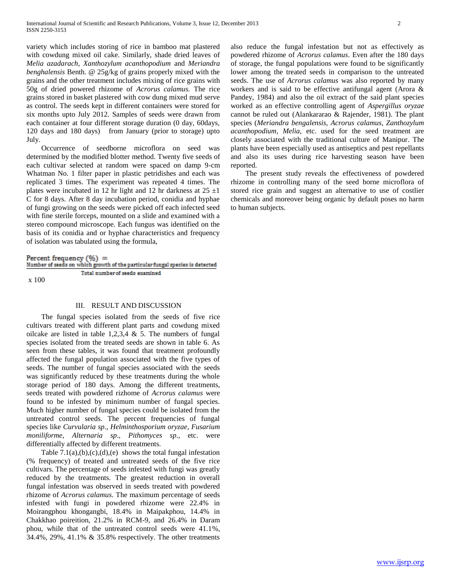variety which includes storing of rice in bamboo mat plastered with cowdung mixed oil cake. Similarly, shade dried leaves of *Melia azadarach*, *Xanthozylum acanthopodium* and *Meriandra benghalensis* Benth. @ 25g/kg of grains properly mixed with the grains and the other treatment includes mixing of rice grains with 50g of dried powered rhizome of *Acrorus calamus.* The rice grains stored in basket plastered with cow dung mixed mud serve as control. The seeds kept in different containers were stored for six months upto July 2012. Samples of seeds were drawn from each container at four different storage duration (0 day, 60days, 120 days and 180 days) from January (prior to storage) upto July.

 Occurrence of seedborne microflora on seed was determined by the modified blotter method. Twenty five seeds of each cultivar selected at random were spaced on damp 9-cm Whatman No. 1 filter paper in plastic petridishes and each was replicated 3 times. The experiment was repeated 4 times. The plates were incubated in 12 hr light and 12 hr darkness at  $25 \pm 1$ C for 8 days. After 8 day incubation period, conidia and hyphae of fungi growing on the seeds were picked off each infected seed with fine sterile forceps, mounted on a slide and examined with a stereo compound microscope. Each fungus was identified on the basis of its conidia and or hyphae characteristics and frequency of isolation was tabulated using the formula,

### Percent frequency  $(\% )$  =

|       |  |                                |  |  |  | Number of seeds on which growth of the particular fungal species is detected |
|-------|--|--------------------------------|--|--|--|------------------------------------------------------------------------------|
|       |  | Total number of seeds examined |  |  |  |                                                                              |
| x 100 |  |                                |  |  |  |                                                                              |

#### III. RESULT AND DISCUSSION

 The fungal species isolated from the seeds of five rice cultivars treated with different plant parts and cowdung mixed oilcake are listed in table 1,2,3,4  $\&$  5. The numbers of fungal species isolated from the treated seeds are shown in table 6. As seen from these tables, it was found that treatment profoundly affected the fungal population associated with the five types of seeds. The number of fungal species associated with the seeds was significantly reduced by these treatments during the whole storage period of 180 days. Among the different treatments, seeds treated with powdered rizhome of *Acrorus calamus* were found to be infested by minimum number of fungal species. Much higher number of fungal species could be isolated from the untreated control seeds. The percent frequencies of fungal species like *Curvularia sp*., *Helminthosporium oryzae*, *Fusarium moniliforme*, *Alternaria sp*., *Pithomyces sp*., etc. were differentially affected by different treatments.

Table  $7.1(a),(b),(c),(d),(e)$  shows the total fungal infestation (% frequency) of treated and untreated seeds of the five rice cultivars. The percentage of seeds infested with fungi was greatly reduced by the treatments. The greatest reduction in overall fungal infestation was observed in seeds treated with powdered rhizome of *Acrorus calamus*. The maximum percentage of seeds infested with fungi in powdered rhizome were 22.4% in Moirangphou khongangbi, 18.4% in Maipakphou, 14.4% in Chakkhao poireition, 21.2% in RCM-9, and 26.4% in Daram phou, while that of the untreated control seeds were 41.1%, 34.4%, 29%, 41.1% & 35.8% respectively. The other treatments

also reduce the fungal infestation but not as effectively as powdered rhizome of *Acrorus calamus*. Even after the 180 days of storage, the fungal populations were found to be significantly lower among the treated seeds in comparison to the untreated seeds. The use of *Acrorus calamus* was also reported by many workers and is said to be effective antifungal agent (Arora & Pandey, 1984) and also the oil extract of the said plant species worked as an effective controlling agent of *Aspergillus oryzae* cannot be ruled out (Alankararao & Rajender, 1981). The plant species (*Meriandra bengalensis, Acrorus calamus*, *Zanthozylum acanthopodium*, *Melia*, etc. used for the seed treatment are closely associated with the traditional culture of Manipur. The plants have been especially used as antiseptics and pest repellants and also its uses during rice harvesting season have been reported.

 The present study reveals the effectiveness of powdered rhizome in controlling many of the seed borne microflora of stored rice grain and suggest an alternative to use of costlier chemicals and moreover being organic by default poses no harm to human subjects.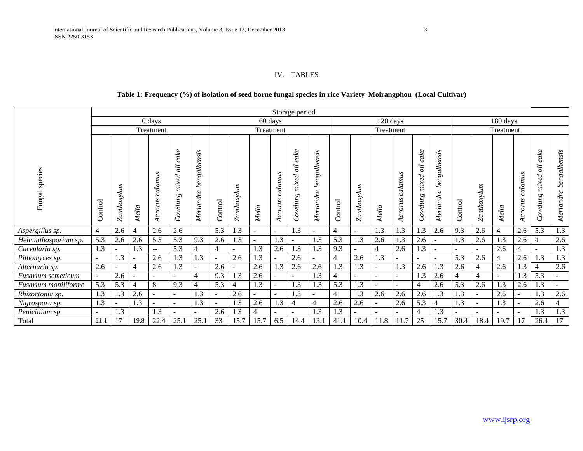## IV. TABLES

# **Table 1: Frequency (%) of isolation of seed borne fungal species in rice Variety Moirangphou (Local Cultivar)**

|                      |                                                |             |        |                          |                                            |                                         |                |             |                |                    | Storage period                 |                                |                |             |                          |                    |                                                   |                           |                |                |           |                    |                                 |                        |
|----------------------|------------------------------------------------|-------------|--------|--------------------------|--------------------------------------------|-----------------------------------------|----------------|-------------|----------------|--------------------|--------------------------------|--------------------------------|----------------|-------------|--------------------------|--------------------|---------------------------------------------------|---------------------------|----------------|----------------|-----------|--------------------|---------------------------------|------------------------|
|                      |                                                |             |        | $0$ days                 |                                            |                                         |                |             |                | 60 days            |                                |                                |                |             | 120 days                 |                    |                                                   |                           |                |                | 180 days  |                    |                                 |                        |
|                      |                                                |             |        | Treatment                |                                            |                                         |                |             |                | Treatment          |                                |                                |                |             | Treatment                |                    |                                                   |                           |                |                | Treatment |                    |                                 |                        |
| species<br>Fungal    | $\begin{bmatrix} 1 & 1 \\ 0 & 1 \end{bmatrix}$ | Zanthoxylum | Melia  | calamus<br>Acrorus       | $_{\emph{calc}}$<br>öï<br>mixed<br>Cowdung | ensis<br>alh.<br>beng.<br>eriandra<br>Ź | Control        | Zanthoxylum | Melia          | calamus<br>Acrorus | cake<br>öi<br>mixed<br>Cowdung | alhensis<br>beng.<br>Meriandra | Control        | Zanthoxylum | Melia                    | calamus<br>Acrorus | cake<br>$\delta l$<br>mixed<br>$\mathit{Covdung}$ | bengalhensis<br>Meriandra | Control        | Zanthoxylum    | Melia     | calamus<br>Acrorus | cake<br>oil<br>mixed<br>Cowdung | Meriandra bengalhensis |
| Aspergillus sp.      | 4                                              | 2.6         | 4      | 2.6                      | 2.6                                        |                                         | 5.3            | 1.3         | $\sim$         | $\sim$             | 1.3                            | $\overline{a}$                 | $\overline{4}$ | $\sim$      | 1.3                      | 1.3                | 1.3                                               | 2.6                       | 9.3            | 2.6            | 4         | 2.6                | 5.3                             | 1.3                    |
| Helminthosporium sp. | 5.3                                            | 2.6         | 2.6    | 5.3                      | 5.3                                        | 9.3                                     | 2.6            | 1.3         | $\sim$         | 1.3                |                                | 1.3                            | 5.3            | 1.3         | 2.6                      | 1.3                | 2.6                                               |                           | 1.3            | 2.6            | 1.3       | 2.6                | $\overline{4}$                  | 2.6                    |
| Curvularia sp.       | 1.3                                            |             | 1.3    | $-$                      | 5.3                                        | 4                                       | $\overline{4}$ |             | 1.3            | 2.6                | 1.3                            | 1.3                            | 9.3            | $\sim$      | $\overline{4}$           | 2.6                | 1.3                                               |                           |                | $\sim$         | 2.6       | $\overline{4}$     | $\overline{\phantom{a}}$        | 1.3                    |
| Pithomyces sp.       | $\sim$                                         | 1.3         | $\sim$ | 2.6                      | 1.3                                        | 1.3                                     | $\sim$         | 2.6         | 1.3            | $\sim$             | 2.6                            | $\overline{a}$                 | 4              | 2.6         | 1.3                      |                    | $\overline{a}$                                    |                           | 5.3            | 2.6            | 4         | 2.6                | 1.3                             | 1.3                    |
| Alternaria sp.       | 2.6                                            |             | 4      | 2.6                      | 1.3                                        | $\overline{\phantom{a}}$                | 2.6            |             | 2.6            | 1.3                | 2.6                            | 2.6                            | 1.3            | 1.3         | $\overline{\phantom{a}}$ | 1.3                | 2.6                                               | 1.3                       | 2.6            | $\overline{4}$ | 2.6       | 1.3                | $\overline{4}$                  | 2.6                    |
| Fusarium semeticum   | $\sim$                                         | 2.6         |        | ÷                        | ٠                                          | 4                                       | 9.3            | 1.3         | 2.6            | $\sim$             |                                | 1.3                            | 4              | $\sim$      | $\sim$                   | $\sim$             | 1.3                                               | 2.6                       | $\overline{4}$ | $\overline{4}$ | $\sim$    | 1.3                | 5.3                             | $\sim$                 |
| Fusarium moniliforme | 5.3                                            | 5.3         | 4      | 8                        | 9.3                                        | 4                                       | 5.3            | 4           | 1.3            | $\sim$             | 1.3                            | 1.3                            | 5.3            | 1.3         | $\sim$                   |                    | $\overline{4}$                                    | 2.6                       | 5.3            | 2.6            | 1.3       | 2.6                | 1.3                             |                        |
| Rhizoctonia sp.      | 1.3                                            | 1.3         | 2.6    | $\overline{\phantom{0}}$ | $\overline{a}$                             | 1.3                                     | $\sim$         | 2.6         | $\overline{a}$ | $\sim$             | 1.3                            | $\overline{a}$                 | 4              | 1.3         | 2.6                      | 2.6                | 2.6                                               | 1.3                       | 1.3            | $\sim$         | 2.6       |                    | 1.3                             | 2.6                    |
| Nigrospora sp.       | 1.3                                            |             | 1.3    |                          | $\overline{a}$                             | 1.3                                     | $\sim$         | 1.3         | 2.6            | 1.3                | $\overline{4}$                 | $\overline{4}$                 | 2.6            | 2.6         | $\sim$                   | 2.6                | 5.3                                               |                           | 1.3            | $\sim$         | 1.3       |                    | 2.6                             |                        |
| Penicillium sp.      | $\overline{\phantom{a}}$                       | 1.3         |        | 1.3                      |                                            |                                         | 2.6            | 1.3         | $\overline{4}$ |                    |                                | 1.3                            | 1.3            |             |                          |                    | $\overline{4}$                                    | 1.3                       |                | $\blacksquare$ |           |                    | 1.3                             | 1.3                    |
| Total                | 21.1                                           | 17          | 19.8   | 22.4                     | 25.1                                       | 25.1                                    | 33             | 15.7        | 15.7           | 6.5                | 14.4                           | 13.1                           | 41.1           | 10.4        | 11.8                     | 11.7               | 25                                                | 15.7                      | 30.4           | 18.4           | 19.7      | 17                 | 26.4                            | 17                     |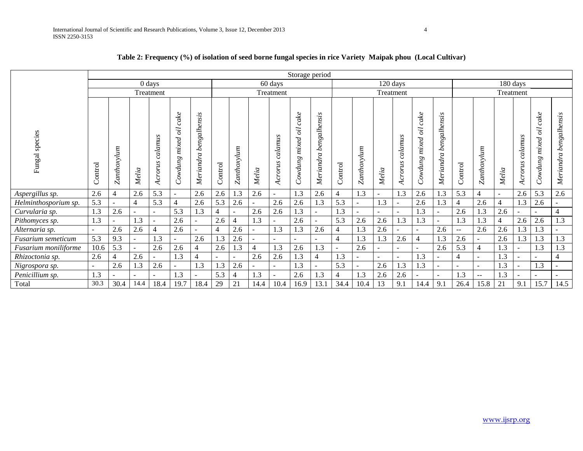|                      |          |             |                |                    |                                 |                           |         |             |                          |                    |                                        | Storage period            |                |                |                          |                    |                                |                           |                |                          |                |                    |                                 |                        |
|----------------------|----------|-------------|----------------|--------------------|---------------------------------|---------------------------|---------|-------------|--------------------------|--------------------|----------------------------------------|---------------------------|----------------|----------------|--------------------------|--------------------|--------------------------------|---------------------------|----------------|--------------------------|----------------|--------------------|---------------------------------|------------------------|
|                      |          |             |                | 0 days             |                                 |                           |         |             |                          | 60 days            |                                        |                           |                |                |                          | 120 days           |                                |                           |                |                          |                | 180 days           |                                 |                        |
|                      |          |             |                | Treatment          |                                 |                           |         |             |                          | Treatment          |                                        |                           |                |                | Treatment                |                    |                                |                           |                |                          | Treatment      |                    |                                 |                        |
| species<br>Fungal    | Control  | Zanthoxylum | Melia          | calamus<br>Acrorus | cake<br>oil<br>mixed<br>Cowdung | bengalhensis<br>Meriandra | Control | Zanthoxylum | Melia                    | calamus<br>Acrorus | cake<br>oil<br>mixed<br><b>Cowdung</b> | bengalhensis<br>Meriandra | ontrol<br>O    | Zanthoxylum    | Melia                    | calamus<br>Acrorus | cake<br>öï<br>mixed<br>Cowdung | bengalhensis<br>Meriandra | Control        | Zanthoxylum              | Melia          | calamus<br>Acrorus | cake<br>oil<br>mixed<br>Cowdung | Meriandra bengalhensis |
| Aspergillus sp.      | 2.6      | 4           | 2.6            | 5.3                | $\blacksquare$                  | 2.6                       | 2.6     | 1.3         | 2.6                      | ÷.                 | 1.3                                    | 2.6                       | $\overline{4}$ | 1.3            | ÷.                       | 1.3                | 2.6                            | 1.3                       | 5.3            | 4                        | $\sim$         | 2.6                | 5.3                             | 2.6                    |
| Helminthosporium sp. | 5.3      |             | $\overline{4}$ | 5.3                | $\overline{4}$                  | 2.6                       | 5.3     | 2.6         |                          | 2.6                | 2.6                                    | 1.3                       | 5.3            | $\overline{a}$ | 1.3                      |                    | 2.6                            | 1.3                       |                | 2.6                      | $\overline{4}$ | 1.3                | 2.6                             |                        |
| Curvularia sp.       | 1.3      | 2.6         | $\sim$         | $\sim$             | 5.3                             | 1.3                       | 4       |             | 2.6                      | 2.6                | 1.3                                    | $\sim$                    | 1.3            | $\sim$         | ÷.                       | $\sim$             | 1.3                            | ÷.                        | 2.6            | 1.3                      | 2.6            |                    | $\sim$                          | $\overline{4}$         |
| Pithomyces sp.       | 1.3      |             | 1.3            | $\sim$             | 2.6                             |                           | 2.6     |             | 1.3                      |                    | 2.6                                    |                           | 5.3            | 2.6            | 2.6                      | 1.3                | 1.3                            |                           | 1.3            | 1.3                      | $\overline{4}$ | 2.6                | 2.6                             | 1.3                    |
| Alternaria sp.       | ۰        | 2.6         | 2.6            | $\overline{4}$     | 2.6                             |                           | 4       | 2.6         | $\overline{\phantom{0}}$ | 1.3                | 1.3                                    | 2.6                       | $\overline{4}$ | 1.3            | 2.6                      |                    | $\sim$                         | 2.6                       | $\sim$ $\sim$  | 2.6                      | 2.6            | 1.3                | 1.3                             |                        |
| Fusarium semeticum   | 5.3      | 9.3         | ٠              | 1.3                |                                 | 2.6                       | 1.3     | 2.6         | ÷.                       | $\blacksquare$     |                                        |                           | $\overline{4}$ | 1.3            | 1.3                      | 2.6                | $\overline{4}$                 | 1.3                       | 2.6            |                          | 2.6            | 1.3                | 1.3                             | 1.3                    |
| Fusarium moniliforme | 10.6     | 5.3         | $\blacksquare$ | 2.6                | 2.6                             | 4                         | 2.6     | 1.3         | $\overline{4}$           | 1.3                | 2.6                                    | 1.3                       |                | 2.6            | $\overline{\phantom{0}}$ |                    | $\overline{a}$                 | 2.6                       | 5.3            | $\overline{4}$           | 1.3            |                    | 1.3                             | 1.3                    |
| Rhizoctonia sp.      | 2.6      | 4           | 2.6            |                    | 1.3                             | 4                         |         |             | 2.6                      | 2.6                | 1.3                                    | $\overline{4}$            | 1.3            | $\blacksquare$ |                          |                    | 1.3                            | $\overline{\phantom{0}}$  | $\overline{4}$ |                          | 1.3            |                    |                                 | $\overline{4}$         |
| Nigrospora sp.       | $\equiv$ | 2.6         | 1.3            | 2.6                |                                 | 1.3                       | 1.3     | 2.6         | $\sim$                   | Ξ.                 | 1.3                                    |                           | 5.3            | $\sim$         | 2.6                      | 1.3                | 1.3                            | $\overline{\phantom{0}}$  |                | $\sim$                   | 1.3            |                    | 1.3                             |                        |
| Penicillium sp.      | 1.3      |             |                |                    | 1.3                             |                           | 5.3     |             | 1.3                      |                    | 2.6                                    | 1.3                       | $\overline{4}$ | 1.3            | 2.6                      | 2.6                |                                |                           | 1.3            | $\overline{\phantom{m}}$ | 1.3            |                    |                                 |                        |
| Total                | 30.3     | 30.4        | 14.4           | 18.4               | 19.7                            | 18.4                      | 29      | 21          | 14.4                     | 10.4               | 16.9                                   | 13.1                      | 34.4           | 10.4           | 13                       | 9.1                | 14.4                           | 9.1                       | 26.4           | 15.8                     | 21             | 9.1                | 15.7                            | 14.5                   |

# **Table 2: Frequency (%) of isolation of seed borne fungal species in rice Variety Maipak phou (Local Cultivar)**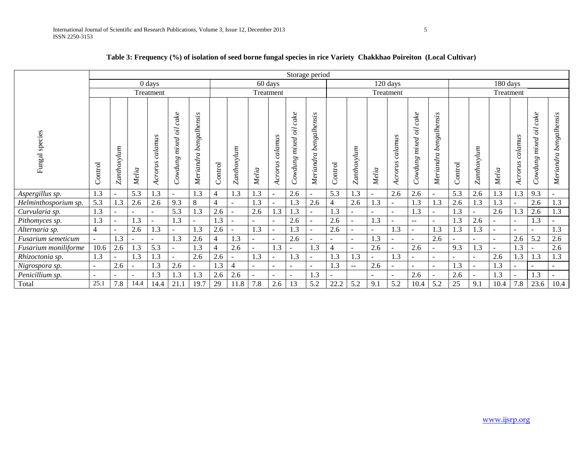|                      |                |             |       |                    |                                     |                           |         |                          |                |                    |                                           | Storage period            |                |                   |       |                    |                                |                           |         |                          |           |                    |                                           |                        |
|----------------------|----------------|-------------|-------|--------------------|-------------------------------------|---------------------------|---------|--------------------------|----------------|--------------------|-------------------------------------------|---------------------------|----------------|-------------------|-------|--------------------|--------------------------------|---------------------------|---------|--------------------------|-----------|--------------------|-------------------------------------------|------------------------|
|                      |                |             |       | 0 days             |                                     |                           |         |                          |                | 60 days            |                                           |                           |                |                   |       | 120 days           |                                |                           |         |                          | 180 days  |                    |                                           |                        |
|                      |                |             |       | Treatment          |                                     |                           |         |                          |                | Treatment          |                                           |                           |                |                   |       | Treatment          |                                |                           |         |                          | Treatment |                    |                                           |                        |
| species<br>Fungal    | Control        | Zanthoxylum | Melia | calamus<br>Acrorus | cake<br>öi<br>mixed<br>Sunpwo.<br>C | bengalhensis<br>Meriandra | Control | Zanthoxylum              | Melia          | calamus<br>Acrorus | cake<br>öi<br>mixed<br><b>Sunpwo</b><br>◡ | bengalhensis<br>Meriandra | ontrol<br>Ü    | Zanthoxylum       | Melia | calamus<br>Acrorus | cake<br>öï<br>mixed<br>Cowdung | bengalhensis<br>Meriandra | Control | Zanthoxylum              | Melia     | calamus<br>Acrorus | cake<br>öö<br>mixed<br><b>Sunpro</b><br>ರ | Meriandra bengalhensis |
| Aspergillus sp.      | 1.3            |             | 5.3   | 1.3                | $\sim$                              | 1.3                       | 4       | 1.3                      | 1.3            |                    | 2.6                                       | $\overline{\phantom{a}}$  | 5.3            | 1.3               |       | 2.6                | 2.6                            | ۰                         | 5.3     | 2.6                      | 1.3       | 1.3                | 9.3                                       |                        |
| Helminthosporium sp. | 5.3            | 1.3         | 2.6   | 2.6                | 9.3                                 | $\,8\,$                   | 4       |                          | 1.3            |                    | 1.3                                       | 2.6                       | 4              | 2.6               | 1.3   | $\sim$             | 1.3                            | 1.3                       | 2.6     | 1.3                      | 1.3       |                    | 2.6                                       | 1.3                    |
| Curvularia sp.       | 1.3            |             |       | ÷.                 | 5.3                                 | 1.3                       | 2.6     | $\overline{\phantom{a}}$ | 2.6            | 1.3                | 1.3                                       | $\sim$                    | 1.3            |                   |       | $\sim$             | 1.3                            | $\blacksquare$            | 1.3     | $\sim$                   | 2.6       | 1.3                | 2.6                                       | 1.3                    |
| Pithomyces sp.       | 1.3            |             | 1.3   |                    | 1.3                                 | $\overline{\phantom{a}}$  | 1.3     |                          | ÷              | Ξ.                 | 2.6                                       |                           | 2.6            |                   | 1.3   | $\sim$             | $\mathbf{u}$                   | ۰                         | 1.3     | 2.6                      | Ξ.        |                    | 1.3                                       |                        |
| Alternaria sp.       | $\overline{4}$ |             | 2.6   | 1.3                |                                     | 1.3                       | 2.6     |                          | 1.3            |                    | 1.3                                       | $\sim$                    | 2.6            |                   |       | 1.3                |                                | 1.3                       | 1.3     | 1.3                      |           |                    | $\sim$                                    | 1.3                    |
| Fusarium semeticum   |                | 1.3         |       | ۰                  | 1.3                                 | 2.6                       | 4       | 1.3                      | ÷,             |                    | 2.6                                       |                           | $\sim$         |                   | 1.3   | $\sim$             |                                | 2.6                       |         | $\overline{\phantom{a}}$ | Ξ.        | 2.6                | 5.2                                       | 2.6                    |
| Fusarium moniliforme | 10.6           | 2.6         | 1.3   | 5.3                |                                     | 1.3                       |         | 2.6                      | ÷              | 1.3                |                                           | 1.3                       | $\overline{4}$ |                   | 2.6   | $\sim$             | 2.6                            | $\blacksquare$            | 9.3     | 1.3                      |           | 1.3                |                                           | 2.6                    |
| Rhizoctonia sp.      | 1.3            |             | 1.3   | 1.3                |                                     | 2.6                       | 2.6     | $\sim$                   | 1.3            |                    | 1.3                                       | $\overline{\phantom{a}}$  | 1.3            | 1.3               |       | 1.3                |                                | $\overline{\phantom{a}}$  |         | $\sim$                   | 2.6       | 1.3                | 1.3                                       | 1.3                    |
| Nigrospora sp.       | $\blacksquare$ | 2.6         |       | .3                 | 2.6                                 | $\blacksquare$            | 1.3     | $\overline{4}$           | $\blacksquare$ |                    |                                           | $\sim$                    | 1.3            | $\qquad \qquad -$ | 2.6   | $\sim$             |                                | $\blacksquare$            | 1.3     | $\overline{\phantom{a}}$ | 1.3       |                    | $\overline{\phantom{a}}$                  |                        |
| Penicillium sp.      | $\sim$         |             |       | $\cdot$ 3          | 1.3                                 | 1.3                       | 2.6     | 2.6                      | ÷              |                    |                                           | 1.3                       |                |                   |       | $\sim$             | 2.6                            |                           | 2.6     | $\overline{\phantom{a}}$ | 1.3       |                    | 1.3                                       |                        |
| Total                | 25.1           | 7.8         | 14.4  | 14.4               | 21.1                                | 19.7                      | 29      | 11.8                     | 7.8            | 2.6                | 13                                        | 5.2                       | 22.2           | 5.2               | 9.1   | 5.2                | 10.4                           | 5.2                       | 25      | 9.1                      | 10.4      | 7.8                | 23.6                                      | 10.4                   |

# **Table 3: Frequency (%) of isolation of seed borne fungal species in rice Variety Chakkhao Poireiton (Local Cultivar)**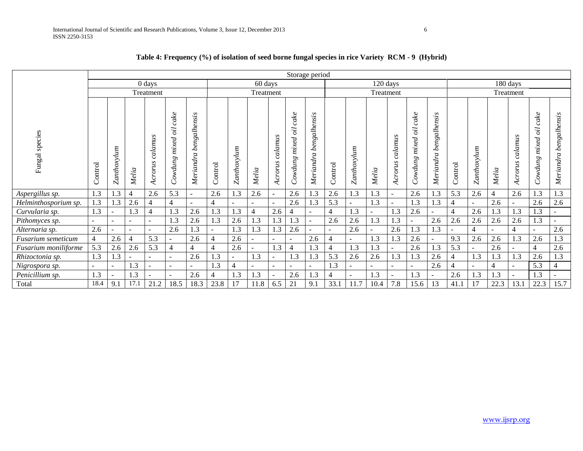|                      |                          |                          |                |                          |                                |                           |                |             |                |                    |                                        | Storage period            |                |             |                |                          |                                         |                           |                |             |       |                    |                                |                        |
|----------------------|--------------------------|--------------------------|----------------|--------------------------|--------------------------------|---------------------------|----------------|-------------|----------------|--------------------|----------------------------------------|---------------------------|----------------|-------------|----------------|--------------------------|-----------------------------------------|---------------------------|----------------|-------------|-------|--------------------|--------------------------------|------------------------|
|                      |                          |                          |                | $0$ days                 |                                |                           |                |             | 60 days        |                    |                                        |                           |                |             | 120 days       |                          |                                         |                           |                |             |       | 180 days           |                                |                        |
|                      |                          |                          |                | Treatment                |                                |                           |                |             | Treatment      |                    |                                        |                           |                |             | Treatment      |                          |                                         |                           |                |             |       | Treatment          |                                |                        |
| species<br>Fungal    | Control                  | Zanthoxylum              | Melia          | calamus<br>Acrorus       | cake<br>öï<br>mixed<br>Cowdung | bengalhensis<br>Meriandra | Control        | Zanthoxylum | Melia          | calamus<br>Acrorus | cake<br>$\delta l$<br>mixed<br>Cowdung | bengalhensis<br>Meriandra | Control        | Zanthoxylum | Melia          | calamus<br>Acrorus       | $\emph{calc}$<br>öi<br>mixed<br>Cowdung | bengalhensis<br>Meriandra | Control        | Zanthoxylum | Melia | calamus<br>Acrorus | cake<br>öi<br>mixed<br>Cowdung | Meriandra bengalhensis |
| Aspergillus sp.      | 1.3                      | 1.3                      | $\overline{4}$ | 2.6                      | 5.3                            | $\sim$                    | 2.6            | 1.3         | 2.6            | ÷.                 | 2.6                                    | 1.3                       | 2.6            | 1.3         | 1.3            | $\sim$                   | 2.6                                     | $\cdot$ 3                 | 5.3            | 2.6         | 4     | 2.6                | 1.3                            | 1.3                    |
| Helminthosporium sp. | 1.3                      | 1.3                      | 2.6            | $\overline{4}$           | $\overline{4}$                 | $\sim$                    | $\overline{4}$ |             | $\sim$         |                    | 2.6                                    | 1.3                       | 5.3            |             | 1.3            |                          | 1.3                                     | 1.3                       | $\overline{4}$ | Ξ.          | 2.6   |                    | 2.6                            | 2.6                    |
| Curvularia sp.       | 1.3                      | $\overline{\phantom{a}}$ | 1.3            | $\overline{4}$           | 1.3                            | 2.6                       | 1.3            | 1.3         | $\overline{4}$ | 2.6                | 4                                      | ÷.                        | $\overline{4}$ | 1.3         | $\overline{a}$ | 1.3                      | 2.6                                     | ÷.                        | $\overline{4}$ | 2.6         | 1.3   | 1.3                | 1.3                            |                        |
| Pithomyces sp.       | $\overline{\phantom{a}}$ | $\overline{\phantom{a}}$ |                | $\overline{\phantom{a}}$ | 1.3                            | 2.6                       | 1.3            | 2.6         | 1.3            | 1.3                | 1.3                                    | $\blacksquare$            | 2.6            | 2.6         | 1.3            | 1.3                      |                                         | 2.6                       | 2.6            | 2.6         | 2.6   | 2.6                | 1.3                            |                        |
| Alternaria sp.       | 2.6                      |                          |                | $\overline{\phantom{a}}$ | 2.6                            | 1.3                       |                | 1.3         | 1.3            | 1.3                | 2.6                                    |                           |                | 2.6         |                | 2.6                      | 1.3                                     | 1.3                       |                | 4           |       | $\overline{4}$     | $\overline{a}$                 | 2.6                    |
| Fusarium semeticum   |                          | 2.6                      |                | 5.3                      |                                | 2.6                       | 4              | 2.6         |                |                    |                                        | 2.6                       | $\overline{4}$ |             | 1.3            | 1.3                      | 2.6                                     |                           | 9.3            | 2.6         | 2.6   | 1.3                | 2.6                            | 1.3                    |
| Fusarium moniliforme | 5.3                      | 2.6                      | 2.6            | 5.3                      | 4                              | $\overline{4}$            | $\overline{4}$ | 2.6         | $\sim$         | 1.3                | $\overline{4}$                         | 1.3                       |                | 1.3         | 1.3            | $\overline{\phantom{a}}$ | 2.6                                     | 1.3                       | 5.3            | Ξ.          | 2.6   |                    | $\overline{4}$                 | 2.6                    |
| Rhizoctonia sp.      | 1.3                      | 1.3                      |                | $\blacksquare$           | $\sim$                         | 2.6                       | 1.3            |             | 1.3            |                    | 1.3                                    | 1.3                       | 5.3            | 2.6         | 2.6            | 1.3                      | 1.3                                     | 2.6                       | 4              | 1.3         | 1.3   | 1.3                | 2.6                            | 1.3                    |
| Nigrospora sp.       | $\overline{\phantom{a}}$ | $\overline{\phantom{a}}$ | 1.3            |                          | $\sim$                         |                           | 1.3            |             | $\sim$         | Ξ.                 |                                        |                           | 1.3            |             |                | $\overline{\phantom{a}}$ |                                         | 2.6                       | $\overline{4}$ | Ξ.          |       |                    | 5.3                            | 4                      |
| Penicillium sp.      | 1.3                      |                          | $\mathbf{1.3}$ |                          | $\sim$                         | 2.6                       | 4              | 1.3         | 1.3            |                    | 2.6                                    | 1.3                       |                |             | 1.3            |                          | 1.3                                     |                           | 2.6            | 1.3         | 1.3   |                    | 1.3                            |                        |
| Total                | 18.4                     | 9.1                      | 17.1           | 21.2                     | 18.5                           | 18.3                      | 23.8           |             | 11.8           | 6.5                | 21                                     | 9.1                       | 33.1           | 11.7        | 10.4           | 7.8                      | 15.6                                    | 13                        | 41.1           | 17          | 22.3  | 13.1               | 22.3                           | 15.7                   |

# **Table 4: Frequency (%) of isolation of seed borne fungal species in rice Variety RCM - 9 (Hybrid)**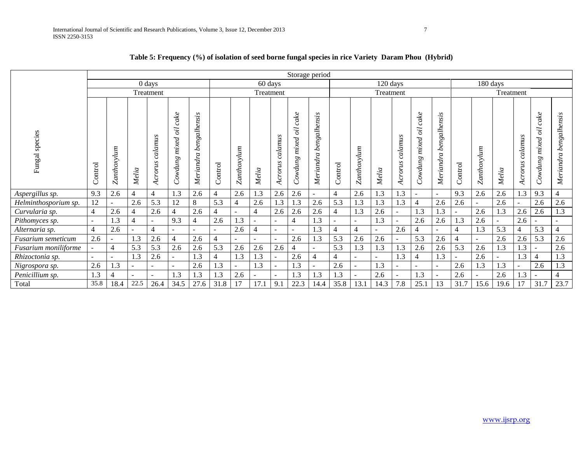|                      |                |             |                          |                          |                                |                               |                          |             |                |                          |                                 | Storage period                 |                |                |           |                    |                                        |                           |         |                |           |                    |                                |                        |
|----------------------|----------------|-------------|--------------------------|--------------------------|--------------------------------|-------------------------------|--------------------------|-------------|----------------|--------------------------|---------------------------------|--------------------------------|----------------|----------------|-----------|--------------------|----------------------------------------|---------------------------|---------|----------------|-----------|--------------------|--------------------------------|------------------------|
|                      |                |             |                          | $0 \, \text{days}$       |                                |                               |                          |             | 60 days        |                          |                                 |                                |                |                | 120 days  |                    |                                        |                           |         | 180 days       |           |                    |                                |                        |
|                      |                |             |                          | Treatment                |                                |                               |                          |             | Treatment      |                          |                                 |                                |                |                | Treatment |                    |                                        |                           |         |                | Treatment |                    |                                |                        |
|                      |                |             |                          |                          |                                |                               |                          |             |                |                          |                                 |                                |                |                |           |                    |                                        |                           |         |                |           |                    |                                |                        |
| species<br>Fungal    | Control        | Zanthoxylum | Melia                    | calamus<br>Acrorus       | cake<br>öi<br>mixed<br>Cowdung | engalhensis<br>Á<br>Meriandra | Control                  | Zanthoxylum | Melia          | calamus<br>Acrorus       | cake<br>oil<br>mixed<br>Cowdung | engalhensis<br>c,<br>Meriandra | Control        | Zanthoxylum    | Melia     | calamus<br>Acrorus | cake<br>$\delta i$<br>mixed<br>Cowdung | bengalhensis<br>Meriandra | Control | Zanthoxylum    | Melia     | calamus<br>Acrorus | cake<br>öi<br>mixed<br>Cowdung | Meriandra bengalhensis |
| Aspergillus sp.      | 9.3            | 2.6         | $\overline{4}$           | 4                        | $\mathbf{1.3}$                 | 2.6                           | 4                        | 2.6         | 1.3            | 2.6                      | 2.6                             | $\overline{\phantom{a}}$       | $\overline{4}$ | 2.6            | 1.3       | $\cdot$ 3          | $\sim$                                 | $\sim$                    | 9.3     | 2.6            | 2.6       | 1.3                | 9.3                            | $\overline{4}$         |
| Helminthosporium sp. | 12             |             | 2.6                      | 5.3                      | 12                             | 8                             | 5.3                      | 4           | 2.6            | 1.3                      | 1.3                             | 2.6                            | 5.3            | 1.3            | 1.3       | 1.3                | $\overline{4}$                         | 2.6                       | 2.6     | $\overline{a}$ | 2.6       |                    | 2.6                            | 2.6                    |
| Curvularia sp.       | 4              | 2.6         | 4                        | 2.6                      | 4                              | 2.6                           | 4                        | $\sim$      | $\overline{4}$ | 2.6                      | 2.6                             | 2.6                            | 4              | 1.3            | 2.6       |                    | 1.3                                    | 1.3                       |         | 2.6            | 1.3       | 2.6                | 2.6                            | 1.3                    |
| Pithomyces sp.       | $\sim$         | 1.3         | $\overline{4}$           |                          | 9.3                            | 4                             | 2.6                      | 1.3         |                | $\overline{a}$           | 4                               | 1.3                            | ÷.             | $\sim$         | 1.3       |                    | 2.6                                    | 2.6                       | 1.3     | 2.6            |           | 2.6                |                                |                        |
| Alternaria sp.       | $\overline{4}$ | 2.6         | $\overline{\phantom{a}}$ | $\overline{4}$           | $\equiv$                       |                               | $\overline{\phantom{a}}$ | 2.6         | $\overline{4}$ | $\sim$                   |                                 | 1.3                            | $\overline{4}$ | $\overline{4}$ | $\sim$    | 2.6                | $\overline{4}$                         | $\sim$                    |         | 1.3            | 5.3       | $\overline{4}$     | 5.3                            | $\overline{4}$         |
| Fusarium semeticum   | 2.6            |             | 1.3                      | 2.6                      | 4                              | 2.6                           | $\overline{4}$           | $\sim$      |                | $\overline{\phantom{a}}$ | 2.6                             | 1.3                            | 5.3            | 2.6            | 2.6       |                    | 5.3                                    | 2.6                       |         | $\sim$         | 2.6       | 2.6                | 5.3                            | 2.6                    |
| Fusarium moniliforme |                | 4           | 5.3                      | 5.3                      | 2.6                            | 2.6                           | 5.3                      | 2.6         | 2.6            | 2.6                      | 4                               |                                | 5.3            | 1.3            | 1.3       | 1.3                | 2.6                                    | 2.6                       | 5.3     | 2.6            | 1.3       | 1.3                |                                | 2.6                    |
| Rhizoctonia sp.      |                |             | 1.3                      | 2.6                      |                                | 1.3                           | 4                        | 1.3         | 1.3            | $\overline{\phantom{a}}$ | 2.6                             | $\overline{4}$                 | $\overline{4}$ | $\blacksquare$ | ÷         | 1.3                | $\overline{4}$                         | 1.3                       |         | 2.6            |           | 1.3                | $\overline{4}$                 | 1.3                    |
| Nigrospora sp.       | 2.6            | 1.3         | $\overline{\phantom{a}}$ | $\overline{\phantom{0}}$ |                                | 2.6                           | 1.3                      |             | 1.3            | $\overline{\phantom{a}}$ | 1.3                             |                                | 2.6            | Ξ.             | 1.3       |                    | $\sim$                                 |                           | 2.6     | 1.3            | 1.3       |                    | 2.6                            | 1.3                    |
| Penicillium sp.      | 1.3            | 4           | $\sim$                   |                          | 1.3                            | 1.3                           | 1.3                      | 2.6         |                | $\blacksquare$           | $\overline{.3}$                 | 1.3                            | 1.3            |                | 2.6       |                    | 1.3                                    |                           | 2.6     |                | 2.6       | 1.3                |                                | $\overline{4}$         |
| Total                | 35.8           | 18.4        | 22.5                     | 26.4                     | 34.5                           | 27.6                          | 31.8                     | 17          | 17.1           | 9.5                      | 22.3                            | 14.4                           | 35.8           | 13.1           | 14.3      | 7.8                | 25.1                                   | 13                        | 31.7    | 15.6           | 19.6      | 17                 | 31.7                           | 23.7                   |

# **Table 5: Frequency (%) of isolation of seed borne fungal species in rice Variety Daram Phou (Hybrid)**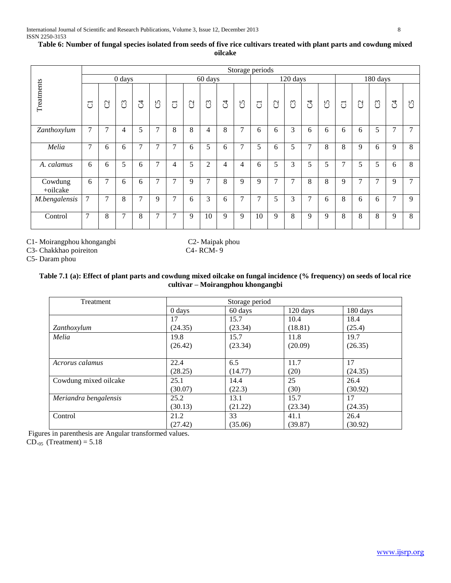|                     |                |                |               |                |                |                |                |                |   |               | Storage periods |               |          |              |    |                |   |                |   |                |
|---------------------|----------------|----------------|---------------|----------------|----------------|----------------|----------------|----------------|---|---------------|-----------------|---------------|----------|--------------|----|----------------|---|----------------|---|----------------|
|                     |                |                | $0$ days      |                |                |                |                | 60 days        |   |               |                 |               | 120 days |              |    |                |   | 180 days       |   |                |
| Treatments          | $\overline{C}$ | $\mathcal{C}$  | C             | J              | C5             | $\overline{C}$ | C <sub>2</sub> | C3             | J | $\mathcal{C}$ | $\overline{C}$  | $\mathcal{C}$ | C3       | J            | C5 | $\overline{C}$ | S | $\mathbb{C}^3$ | J | $\mathcal{C}$  |
| Zanthoxylum         | 7              | 7              | 4             | 5              | $\overline{7}$ | 8              | 8              | 4              | 8 | 7             | 6               | 6             | 3        | 6            | 6  | 6              | 6 | 5              | 7 | $\tau$         |
| Melia               | 7              | 6              | 6             | $\overline{7}$ | $\overline{7}$ | $\overline{7}$ | 6              | 5              | 6 | $\tau$        | 5               | 6             | 5        | $\mathbf{r}$ | 8  | 8              | 9 | 6              | 9 | 8              |
| A. calamus          | 6              | 6              | 5             | 6              | $\overline{7}$ | 4              | 5              | $\overline{2}$ | 4 | 4             | 6               | 5             | 3        | 5            | 5  | 7              | 5 | 5              | 6 | 8              |
| Cowdung<br>+oilcake | 6              | $\overline{7}$ | 6             | 6              | $\overline{7}$ | $\overline{7}$ | 9              | $\mathcal{I}$  | 8 | 9             | 9               | $\tau$        | 7        | 8            | 8  | 9              | 7 | 7              | 9 | $\overline{7}$ |
| M.bengalensis       | 7              | $\overline{7}$ | 8             | $\overline{7}$ | 9              | 7              | 6              | 3              | 6 | 7             | $\overline{7}$  | 5             | 3        | 7            | 6  | 8              | 6 | 6              | 7 | 9              |
| Control             | 7              | 8              | $\mathcal{I}$ | 8              | $\overline{7}$ | $\overline{7}$ | 9              | 10             | 9 | 9             | 10              | 9             | 8        | 9            | 9  | 8              | 8 | 8              | 9 | 8              |

#### **Table 6: Number of fungal species isolated from seeds of five rice cultivars treated with plant parts and cowdung mixed oilcake**

C1- Moirangphou khongangbi C2- Maipak phou

C3- Chakkhao poireiton C4- RCM- 9

C5- Daram phou

## **Table 7.1 (a): Effect of plant parts and cowdung mixed oilcake on fungal incidence (% frequency) on seeds of local rice cultivar – Moirangphou khongangbi**

| Treatment             |          | Storage period |          |          |  |
|-----------------------|----------|----------------|----------|----------|--|
|                       | $0$ days | 60 days        | 120 days | 180 days |  |
|                       | 17       | 15.7           | 10.4     | 18.4     |  |
| Zanthoxylum           | (24.35)  | (23.34)        | (18.81)  | (25.4)   |  |
| Melia                 | 19.8     | 15.7           | 11.8     | 19.7     |  |
|                       | (26.42)  | (23.34)        | (20.09)  | (26.35)  |  |
|                       |          |                |          |          |  |
| Acrorus calamus       | 22.4     | 6.5            | 11.7     | 17       |  |
|                       | (28.25)  | (14.77)        | (20)     | (24.35)  |  |
| Cowdung mixed oilcake | 25.1     | 14.4           | 25       | 26.4     |  |
|                       | (30.07)  | (22.3)         | (30)     | (30.92)  |  |
| Meriandra bengalensis | 25.2     | 13.1           | 15.7     | 17       |  |
|                       | (30.13)  | (21.22)        | (23.34)  | (24.35)  |  |
| Control               | 21.2     | 33             | 41.1     | 26.4     |  |
|                       | (27.42)  | (35.06)        | (39.87)  | (30.92)  |  |

Figures in parenthesis are Angular transformed values.

 $CD_{.05}$  (Treatment) = 5.18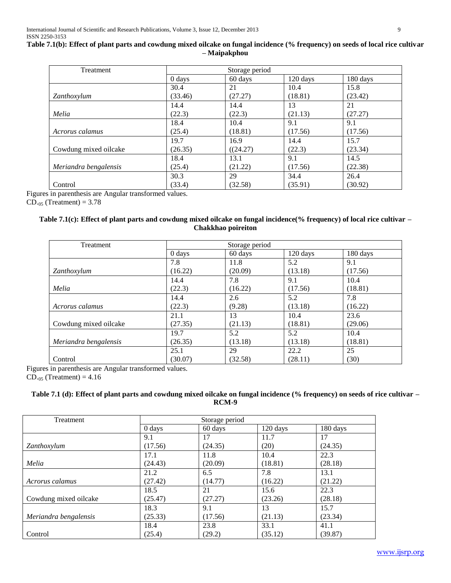## **Table 7.1(b): Effect of plant parts and cowdung mixed oilcake on fungal incidence (% frequency) on seeds of local rice cultivar – Maipakphou**

| Treatment             |                    | Storage period |          |          |
|-----------------------|--------------------|----------------|----------|----------|
|                       | $0 \, \text{days}$ | 60 days        | 120 days | 180 days |
|                       | 30.4               | 21             | 10.4     | 15.8     |
| Zanthoxylum           | (33.46)            | (27.27)        | (18.81)  | (23.42)  |
|                       | 14.4               | 14.4           | 13       | 21       |
| Melia                 | (22.3)             | (22.3)         | (21.13)  | (27.27)  |
|                       | 18.4               | 10.4           | 9.1      | 9.1      |
| Acrorus calamus       | (25.4)             | (18.81)        | (17.56)  | (17.56)  |
|                       | 19.7               | 16.9           | 14.4     | 15.7     |
| Cowdung mixed oilcake | (26.35)            | ((24.27)       | (22.3)   | (23.34)  |
|                       | 18.4               | 13.1           | 9.1      | 14.5     |
| Meriandra bengalensis | (25.4)             | (21.22)        | (17.56)  | (22.38)  |
|                       | 30.3               | 29             | 34.4     | 26.4     |
| Control               | (33.4)             | (32.58)        | (35.91)  | (30.92)  |

Figures in parenthesis are Angular transformed values.

 $CD_{.05}$  (Treatment) = 3.78

## **Table 7.1(c): Effect of plant parts and cowdung mixed oilcake on fungal incidence(% frequency) of local rice cultivar – Chakkhao poireiton**

| <b>Treatment</b>      |          | Storage period |          |          |
|-----------------------|----------|----------------|----------|----------|
|                       | $0$ days | 60 days        | 120 days | 180 days |
|                       | 7.8      | 11.8           | 5.2      | 9.1      |
| Zanthoxylum           | (16.22)  | (20.09)        | (13.18)  | (17.56)  |
|                       | 14.4     | 7.8            | 9.1      | 10.4     |
| Melia                 | (22.3)   | (16.22)        | (17.56)  | (18.81)  |
|                       | 14.4     | 2.6            | 5.2      | 7.8      |
| Acrorus calamus       | (22.3)   | (9.28)         | (13.18)  | (16.22)  |
|                       | 21.1     | 13             | 10.4     | 23.6     |
| Cowdung mixed oilcake | (27.35)  | (21.13)        | (18.81)  | (29.06)  |
|                       | 19.7     | 5.2            | 5.2      | 10.4     |
| Meriandra bengalensis | (26.35)  | (13.18)        | (13.18)  | (18.81)  |
|                       | 25.1     | 29             | 22.2     | 25       |
| Control               | (30.07)  | (32.58)        | (28.11)  | (30)     |

Figures in parenthesis are Angular transformed values.

 $CD_{.05}$  (Treatment) = 4.16

## **Table 7.1 (d): Effect of plant parts and cowdung mixed oilcake on fungal incidence (% frequency) on seeds of rice cultivar – RCM-9**

| Treatment             |          | Storage period |          |          |
|-----------------------|----------|----------------|----------|----------|
|                       | $0$ days | 60 days        | 120 days | 180 days |
|                       | 9.1      | 17             | 11.7     | 17       |
| Zanthoxylum           | (17.56)  | (24.35)        | (20)     | (24.35)  |
|                       | 17.1     | 11.8           | 10.4     | 22.3     |
| Melia                 | (24.43)  | (20.09)        | (18.81)  | (28.18)  |
|                       | 21.2     | 6.5            | 7.8      | 13.1     |
| Acrorus calamus       | (27.42)  | (14.77)        | (16.22)  | (21.22)  |
|                       | 18.5     | 21             | 15.6     | 22.3     |
| Cowdung mixed oilcake | (25.47)  | (27.27)        | (23.26)  | (28.18)  |
|                       | 18.3     | 9.1            | 13       | 15.7     |
| Meriandra bengalensis | (25.33)  | (17.56)        | (21.13)  | (23.34)  |
|                       | 18.4     | 23.8           | 33.1     | 41.1     |
| Control               | (25.4)   | (29.2)         | (35.12)  | (39.87)  |